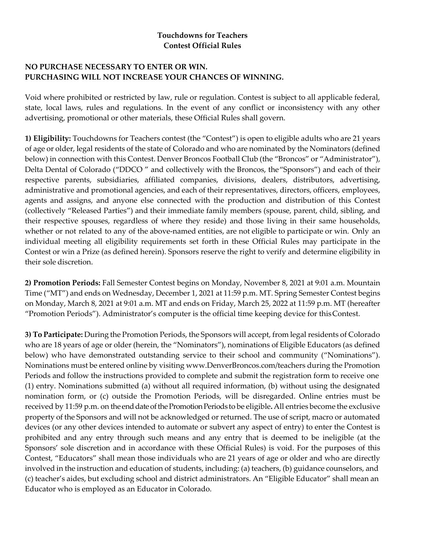## **Touchdowns for Teachers Contest Official Rules**

## **NO PURCHASE NECESSARY TO ENTER OR WIN. PURCHASING WILL NOT INCREASE YOUR CHANCES OF WINNING.**

Void where prohibited or restricted by law, rule or regulation. Contest is subject to all applicable federal, state, local laws, rules and regulations. In the event of any conflict or inconsistency with any other advertising, promotional or other materials, these Official Rules shall govern.

**1) Eligibility:** Touchdowns for Teachers contest (the "Contest") is open to eligible adults who are 21 years of age or older, legal residents of the state of Colorado and who are nominated by the Nominators (defined below) in connection with this Contest. Denver Broncos Football Club (the "Broncos" or "Administrator"), Delta Dental of Colorado ("DDCO " and collectively with the Broncos, the"Sponsors") and each of their respective parents, subsidiaries, affiliated companies, divisions, dealers, distributors, advertising, administrative and promotional agencies, and each of their representatives, directors, officers, employees, agents and assigns, and anyone else connected with the production and distribution of this Contest (collectively "Released Parties") and their immediate family members (spouse, parent, child, sibling, and their respective spouses, regardless of where they reside) and those living in their same households, whether or not related to any of the above-named entities, are not eligible to participate or win. Only an individual meeting all eligibility requirements set forth in these Official Rules may participate in the Contest or win a Prize (as defined herein). Sponsors reserve the right to verify and determine eligibility in their sole discretion.

**2) Promotion Periods:** Fall Semester Contest begins on Monday, November 8, 2021 at 9:01 a.m. Mountain Time ("MT") and ends on Wednesday, December 1, 2021 at 11:59 p.m. MT. Spring Semester Contest begins on Monday, March 8, 2021 at 9:01 a.m. MT and ends on Friday, March 25, 2022 at 11:59 p.m. MT (hereafter "Promotion Periods"). Administrator's computer is the official time keeping device for thisContest.

**3) To Participate:** During the Promotion Periods, the Sponsors will accept, from legal residents of Colorado who are 18 years of age or older (herein, the "Nominators"), nominations of Eligible Educators (as defined below) who have demonstrated outstanding service to their school and community ("Nominations"). Nominations must be entered online by visiting www.DenverBroncos.com/teachers during the Promotion Periods and follow the instructions provided to complete and submit the registration form to receive one (1) entry. Nominations submitted (a) without all required information, (b) without using the designated nomination form, or (c) outside the Promotion Periods, will be disregarded. Online entries must be received by 11:59 p.m. on the end date of the Promotion Periods to be eligible. All entries become the exclusive property of the Sponsors and will not be acknowledged or returned. The use of script, macro or automated devices (or any other devices intended to automate or subvert any aspect of entry) to enter the Contest is prohibited and any entry through such means and any entry that is deemed to be ineligible (at the Sponsors' sole discretion and in accordance with these Official Rules) is void. For the purposes of this Contest, "Educators" shall mean those individuals who are 21 years of age or older and who are directly involved in the instruction and education of students, including: (a) teachers, (b) guidance counselors, and (c) teacher's aides, but excluding school and district administrators. An "Eligible Educator" shall mean an Educator who is employed as an Educator in Colorado.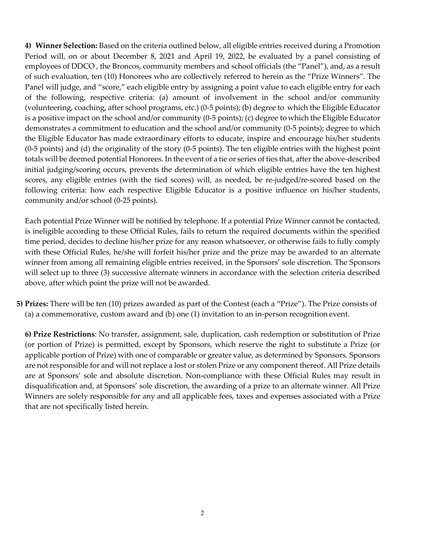**4) Winner Selection:** Based on the criteria outlined below, all eligible entries received during a Promotion Period will, on or about December 8, 2021 and April 19, 2022, be evaluated by a panel consisting of employees of DDCO , the Broncos, community members and school officials (the "Panel"), and, as a result of such evaluation, ten (10) Honorees who are collectively referred to herein as the "Prize Winners". The Panel will judge, and "score," each eligible entry by assigning a point value to each eligible entry for each of the following, respective criteria: (a) amount of involvement in the school and/or community (volunteering, coaching, after school programs, etc.) (0-5 points); (b) degree to which the Eligible Educator is a positive impact on the school and/or community (0-5 points); (c) degree to which the Eligible Educator demonstrates a commitment to education and the school and/or community (0-5 points); degree to which the Eligible Educator has made extraordinary efforts to educate, inspire and encourage his/her students (0-5 points) and (d) the originality of the story (0-5 points). The ten eligible entries with the highest point totals will be deemed potential Honorees. In the event of a tie or series of ties that, after the above-described initial judging/scoring occurs, prevents the determination of which eligible entries have the ten highest scores, any eligible entries (with the tied scores) will, as needed, be re-judged/re-scored based on the following criteria: how each respective Eligible Educator is a positive influence on his/her students, community and/or school (0-25 points).

Each potential Prize Winner will be notified by telephone. If a potential Prize Winner cannot be contacted, is ineligible according to these Official Rules, fails to return the required documents within the specified time period, decides to decline his/her prize for any reason whatsoever, or otherwise fails to fully comply with these Official Rules, he/she will forfeit his/her prize and the prize may be awarded to an alternate winner from among all remaining eligible entries received, in the Sponsors' sole discretion. The Sponsors will select up to three (3) successive alternate winners in accordance with the selection criteria described above, after which point the prize will not be awarded.

**5) Prizes:** There will be ten (10) prizes awarded as part of the Contest (each a "Prize"). The Prize consists of (a) a commemorative, custom award and (b) one (1) invitation to an in-person recognition event.

**6) Prize Restrictions**: No transfer, assignment, sale, duplication, cash redemption or substitution of Prize (or portion of Prize) is permitted, except by Sponsors, which reserve the right to substitute a Prize (or applicable portion of Prize) with one of comparable or greater value, as determined by Sponsors. Sponsors are not responsible for and will not replace a lost or stolen Prize or any component thereof. All Prize details are at Sponsors' sole and absolute discretion. Non-compliance with these Official Rules may result in disqualification and, at Sponsors' sole discretion, the awarding of a prize to an alternate winner. All Prize Winners are solely responsible for any and all applicable fees, taxes and expenses associated with a Prize that are not specifically listed herein.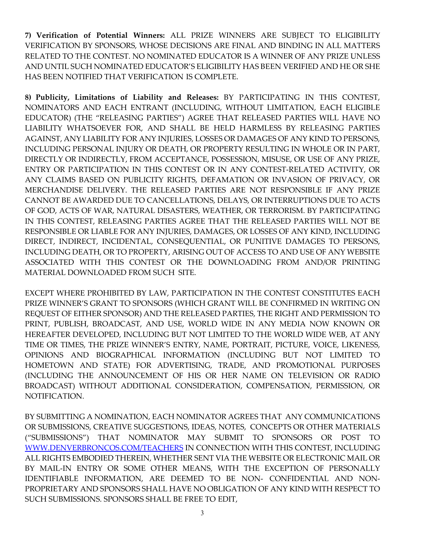**7) Verification of Potential Winners:** ALL PRIZE WINNERS ARE SUBJECT TO ELIGIBILITY VERIFICATION BY SPONSORS, WHOSE DECISIONS ARE FINAL AND BINDING IN ALL MATTERS RELATED TO THE CONTEST. NO NOMINATED EDUCATOR IS A WINNER OF ANY PRIZE UNLESS AND UNTIL SUCH NOMINATED EDUCATOR'S ELIGIBILITY HAS BEEN VERIFIED AND HE OR SHE HAS BEEN NOTIFIED THAT VERIFICATION IS COMPLETE.

**8) Publicity, Limitations of Liability and Releases:** BY PARTICIPATING IN THIS CONTEST, NOMINATORS AND EACH ENTRANT (INCLUDING, WITHOUT LIMITATION, EACH ELIGIBLE EDUCATOR) (THE "RELEASING PARTIES") AGREE THAT RELEASED PARTIES WILL HAVE NO LIABILITY WHATSOEVER FOR, AND SHALL BE HELD HARMLESS BY RELEASING PARTIES AGAINST, ANY LIABILITY FOR ANY INJURIES, LOSSES OR DAMAGES OF ANY KIND TO PERSONS, INCLUDING PERSONAL INJURY OR DEATH, OR PROPERTY RESULTING IN WHOLE OR IN PART, DIRECTLY OR INDIRECTLY, FROM ACCEPTANCE, POSSESSION, MISUSE, OR USE OF ANY PRIZE, ENTRY OR PARTICIPATION IN THIS CONTEST OR IN ANY CONTEST-RELATED ACTIVITY, OR ANY CLAIMS BASED ON PUBLICITY RIGHTS, DEFAMATION OR INVASION OF PRIVACY, OR MERCHANDISE DELIVERY. THE RELEASED PARTIES ARE NOT RESPONSIBLE IF ANY PRIZE CANNOT BE AWARDED DUE TO CANCELLATIONS, DELAYS, OR INTERRUPTIONS DUE TO ACTS OF GOD, ACTS OF WAR, NATURAL DISASTERS, WEATHER, OR TERRORISM. BY PARTICIPATING IN THIS CONTEST, RELEASING PARTIES AGREE THAT THE RELEASED PARTIES WILL NOT BE RESPONSIBLE OR LIABLE FOR ANY INJURIES, DAMAGES, OR LOSSES OF ANY KIND, INCLUDING DIRECT, INDIRECT, INCIDENTAL, CONSEQUENTIAL, OR PUNITIVE DAMAGES TO PERSONS, INCLUDING DEATH, OR TO PROPERTY, ARISING OUT OF ACCESS TO AND USE OF ANY WEBSITE ASSOCIATED WITH THIS CONTEST OR THE DOWNLOADING FROM AND/OR PRINTING MATERIAL DOWNLOADED FROM SUCH SITE.

EXCEPT WHERE PROHIBITED BY LAW, PARTICIPATION IN THE CONTEST CONSTITUTES EACH PRIZE WINNER'S GRANT TO SPONSORS (WHICH GRANT WILL BE CONFIRMED IN WRITING ON REQUEST OF EITHER SPONSOR) AND THE RELEASED PARTIES, THE RIGHT AND PERMISSION TO PRINT, PUBLISH, BROADCAST, AND USE, WORLD WIDE IN ANY MEDIA NOW KNOWN OR HEREAFTER DEVELOPED, INCLUDING BUT NOT LIMITED TO THE WORLD WIDE WEB, AT ANY TIME OR TIMES, THE PRIZE WINNER'S ENTRY, NAME, PORTRAIT, PICTURE, VOICE, LIKENESS, OPINIONS AND BIOGRAPHICAL INFORMATION (INCLUDING BUT NOT LIMITED TO HOMETOWN AND STATE) FOR ADVERTISING, TRADE, AND PROMOTIONAL PURPOSES (INCLUDING THE ANNOUNCEMENT OF HIS OR HER NAME ON TELEVISION OR RADIO BROADCAST) WITHOUT ADDITIONAL CONSIDERATION, COMPENSATION, PERMISSION, OR NOTIFICATION.

BY SUBMITTING A NOMINATION, EACH NOMINATOR AGREES THAT ANY COMMUNICATIONS OR SUBMISSIONS, CREATIVE SUGGESTIONS, IDEAS, NOTES, CONCEPTS OR OTHER MATERIALS ("SUBMISSIONS") THAT NOMINATOR MAY SUBMIT TO SPONSORS OR POST TO WWW.DENVERBRONCOS.COM/TEACHERS IN CONNECTION WITH THIS CONTEST, INCLUDING ALL RIGHTS EMBODIED THEREIN, WHETHER SENT VIA THE WEBSITE OR ELECTRONIC MAIL OR BY MAIL-IN ENTRY OR SOME OTHER MEANS, WITH THE EXCEPTION OF PERSONALLY IDENTIFIABLE INFORMATION, ARE DEEMED TO BE NON- CONFIDENTIAL AND NON-PROPRIETARY AND SPONSORS SHALL HAVE NO OBLIGATION OF ANY KIND WITH RESPECT TO SUCH SUBMISSIONS. SPONSORS SHALL BE FREE TO EDIT,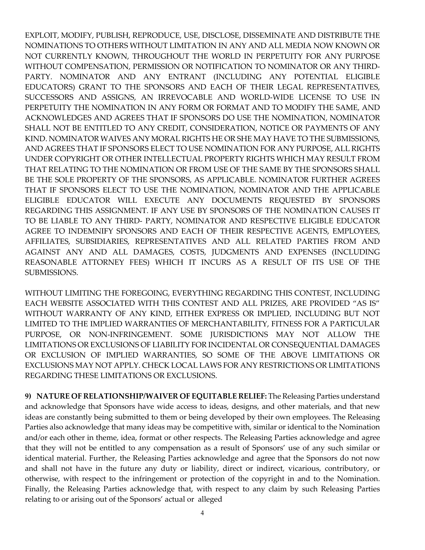EXPLOIT, MODIFY, PUBLISH, REPRODUCE, USE, DISCLOSE, DISSEMINATE AND DISTRIBUTE THE NOMINATIONS TO OTHERS WITHOUT LIMITATION IN ANY AND ALL MEDIA NOW KNOWN OR NOT CURRENTLY KNOWN, THROUGHOUT THE WORLD IN PERPETUITY FOR ANY PURPOSE WITHOUT COMPENSATION, PERMISSION OR NOTIFICATION TO NOMINATOR OR ANY THIRD-PARTY. NOMINATOR AND ANY ENTRANT (INCLUDING ANY POTENTIAL ELIGIBLE EDUCATORS) GRANT TO THE SPONSORS AND EACH OF THEIR LEGAL REPRESENTATIVES, SUCCESSORS AND ASSIGNS, AN IRREVOCABLE AND WORLD-WIDE LICENSE TO USE IN PERPETUITY THE NOMINATION IN ANY FORM OR FORMAT AND TO MODIFY THE SAME, AND ACKNOWLEDGES AND AGREES THAT IF SPONSORS DO USE THE NOMINATION, NOMINATOR SHALL NOT BE ENTITLED TO ANY CREDIT, CONSIDERATION, NOTICE OR PAYMENTS OF ANY KIND. NOMINATOR WAIVES ANY MORAL RIGHTS HE OR SHE MAY HAVE TO THE SUBMISSIONS, AND AGREES THAT IF SPONSORS ELECT TO USE NOMINATION FOR ANY PURPOSE, ALL RIGHTS UNDER COPYRIGHT OR OTHER INTELLECTUAL PROPERTY RIGHTS WHICH MAY RESULT FROM THAT RELATING TO THE NOMINATION OR FROM USE OF THE SAME BY THE SPONSORS SHALL BE THE SOLE PROPERTY OF THE SPONSORS, AS APPLICABLE. NOMINATOR FURTHER AGREES THAT IF SPONSORS ELECT TO USE THE NOMINATION, NOMINATOR AND THE APPLICABLE ELIGIBLE EDUCATOR WILL EXECUTE ANY DOCUMENTS REQUESTED BY SPONSORS REGARDING THIS ASSIGNMENT. IF ANY USE BY SPONSORS OF THE NOMINATION CAUSES IT TO BE LIABLE TO ANY THIRD- PARTY, NOMINATOR AND RESPECTIVE ELIGIBLE EDUCATOR AGREE TO INDEMNIFY SPONSORS AND EACH OF THEIR RESPECTIVE AGENTS, EMPLOYEES, AFFILIATES, SUBSIDIARIES, REPRESENTATIVES AND ALL RELATED PARTIES FROM AND AGAINST ANY AND ALL DAMAGES, COSTS, JUDGMENTS AND EXPENSES (INCLUDING REASONABLE ATTORNEY FEES) WHICH IT INCURS AS A RESULT OF ITS USE OF THE SUBMISSIONS.

WITHOUT LIMITING THE FOREGOING, EVERYTHING REGARDING THIS CONTEST, INCLUDING EACH WEBSITE ASSOCIATED WITH THIS CONTEST AND ALL PRIZES, ARE PROVIDED "AS IS" WITHOUT WARRANTY OF ANY KIND, EITHER EXPRESS OR IMPLIED, INCLUDING BUT NOT LIMITED TO THE IMPLIED WARRANTIES OF MERCHANTABILITY, FITNESS FOR A PARTICULAR PURPOSE, OR NON-INFRINGEMENT. SOME JURISDICTIONS MAY NOT ALLOW THE LIMITATIONS OR EXCLUSIONS OF LIABILITY FOR INCIDENTAL OR CONSEQUENTIAL DAMAGES OR EXCLUSION OF IMPLIED WARRANTIES, SO SOME OF THE ABOVE LIMITATIONS OR EXCLUSIONS MAY NOT APPLY. CHECK LOCAL LAWS FOR ANY RESTRICTIONS OR LIMITATIONS REGARDING THESE LIMITATIONS OR EXCLUSIONS.

**9) NATURE OF RELATIONSHIP/WAIVER OF EQUITABLE RELIEF:** The Releasing Parties understand and acknowledge that Sponsors have wide access to ideas, designs, and other materials, and that new ideas are constantly being submitted to them or being developed by their own employees. The Releasing Parties also acknowledge that many ideas may be competitive with, similar or identical to the Nomination and/or each other in theme, idea, format or other respects. The Releasing Parties acknowledge and agree that they will not be entitled to any compensation as a result of Sponsors' use of any such similar or identical material. Further, the Releasing Parties acknowledge and agree that the Sponsors do not now and shall not have in the future any duty or liability, direct or indirect, vicarious, contributory, or otherwise, with respect to the infringement or protection of the copyright in and to the Nomination. Finally, the Releasing Parties acknowledge that, with respect to any claim by such Releasing Parties relating to or arising out of the Sponsors' actual or alleged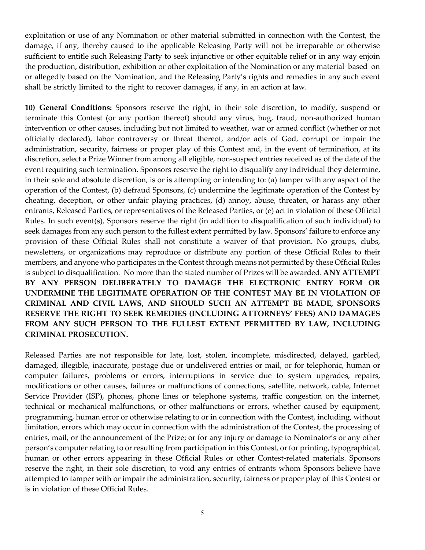exploitation or use of any Nomination or other material submitted in connection with the Contest, the damage, if any, thereby caused to the applicable Releasing Party will not be irreparable or otherwise sufficient to entitle such Releasing Party to seek injunctive or other equitable relief or in any way enjoin the production, distribution, exhibition or other exploitation of the Nomination or any material based on or allegedly based on the Nomination, and the Releasing Party's rights and remedies in any such event shall be strictly limited to the right to recover damages, if any, in an action at law.

**10) General Conditions:** Sponsors reserve the right, in their sole discretion, to modify, suspend or terminate this Contest (or any portion thereof) should any virus, bug, fraud, non-authorized human intervention or other causes, including but not limited to weather, war or armed conflict (whether or not officially declared), labor controversy or threat thereof, and/or acts of God, corrupt or impair the administration, security, fairness or proper play of this Contest and, in the event of termination, at its discretion, select a Prize Winner from among all eligible, non-suspect entries received as of the date of the event requiring such termination. Sponsors reserve the right to disqualify any individual they determine, in their sole and absolute discretion, is or is attempting or intending to: (a) tamper with any aspect of the operation of the Contest, (b) defraud Sponsors, (c) undermine the legitimate operation of the Contest by cheating, deception, or other unfair playing practices, (d) annoy, abuse, threaten, or harass any other entrants, Released Parties, or representatives of the Released Parties, or (e) act in violation of these Official Rules. In such event(s), Sponsors reserve the right (in addition to disqualification of such individual) to seek damages from any such person to the fullest extent permitted by law. Sponsors' failure to enforce any provision of these Official Rules shall not constitute a waiver of that provision. No groups, clubs, newsletters, or organizations may reproduce or distribute any portion of these Official Rules to their members, and anyone who participates in the Contest through means not permitted by these Official Rules is subject to disqualification. No more than the stated number of Prizes will be awarded. **ANY ATTEMPT BY ANY PERSON DELIBERATELY TO DAMAGE THE ELECTRONIC ENTRY FORM OR UNDERMINE THE LEGITIMATE OPERATION OF THE CONTEST MAY BE IN VIOLATION OF CRIMINAL AND CIVIL LAWS, AND SHOULD SUCH AN ATTEMPT BE MADE, SPONSORS RESERVE THE RIGHT TO SEEK REMEDIES (INCLUDING ATTORNEYS' FEES) AND DAMAGES FROM ANY SUCH PERSON TO THE FULLEST EXTENT PERMITTED BY LAW, INCLUDING CRIMINAL PROSECUTION.**

Released Parties are not responsible for late, lost, stolen, incomplete, misdirected, delayed, garbled, damaged, illegible, inaccurate, postage due or undelivered entries or mail, or for telephonic, human or computer failures, problems or errors, interruptions in service due to system upgrades, repairs, modifications or other causes, failures or malfunctions of connections, satellite, network, cable, Internet Service Provider (ISP), phones, phone lines or telephone systems, traffic congestion on the internet, technical or mechanical malfunctions, or other malfunctions or errors, whether caused by equipment, programming, human error or otherwise relating to or in connection with the Contest, including, without limitation, errors which may occur in connection with the administration of the Contest, the processing of entries, mail, or the announcement of the Prize; or for any injury or damage to Nominator's or any other person's computer relating to or resulting from participation in this Contest, or for printing, typographical, human or other errors appearing in these Official Rules or other Contest-related materials. Sponsors reserve the right, in their sole discretion, to void any entries of entrants whom Sponsors believe have attempted to tamper with or impair the administration, security, fairness or proper play of this Contest or is in violation of these Official Rules.